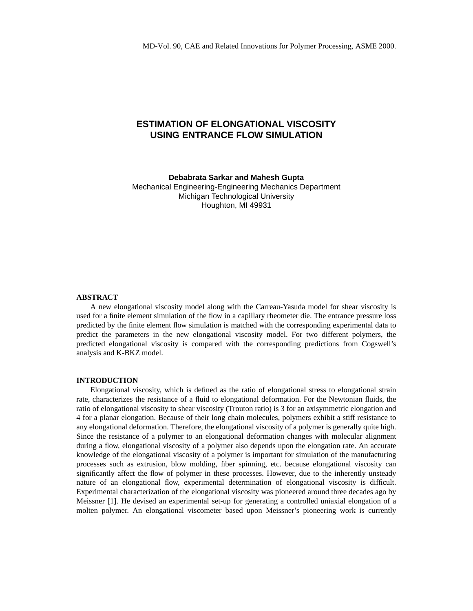# **ESTIMATION OF ELONGATIONAL VISCOSITY USING ENTRANCE FLOW SIMULATION**

**Debabrata Sarkar and Mahesh Gupta**

Mechanical Engineering-Engineering Mechanics Department Michigan Technological University Houghton, MI 49931

## **ABSTRACT**

A new elongational viscosity model along with the Carreau-Yasuda model for shear viscosity is used for a finite element simulation of the flow in a capillary rheometer die. The entrance pressure loss predicted by the finite element flow simulation is matched with the corresponding experimental data to predict the parameters in the new elongational viscosity model. For two different polymers, the predicted elongational viscosity is compared with the corresponding predictions from Cogswell's analysis and K-BKZ model.

#### **INTRODUCTION**

Elongational viscosity, which is defined as the ratio of elongational stress to elongational strain rate, characterizes the resistance of a fluid to elongational deformation. For the Newtonian fluids, the ratio of elongational viscosity to shear viscosity (Trouton ratio) is 3 for an axisymmetric elongation and 4 for a planar elongation. Because of their long chain molecules, polymers exhibit a stiff resistance to any elongational deformation. Therefore, the elongational viscosity of a polymer is generally quite high. Since the resistance of a polymer to an elongational deformation changes with molecular alignment during a flow, elongational viscosity of a polymer also depends upon the elongation rate. An accurate knowledge of the elongational viscosity of a polymer is important for simulation of the manufacturing processes such as extrusion, blow molding, fiber spinning, etc. because elongational viscosity can significantly affect the flow of polymer in these processes. However, due to the inherently unsteady nature of an elongational flow, experimental determination of elongational viscosity is difficult. Experimental characterization of the elongational viscosity was pioneered around three decades ago by Meissner [[1\]](#page-5-0). He devised an experimental set-up for generating a controlled uniaxial elongation of a molten polymer. An elongational viscometer based upon Meissner's pioneering work is currently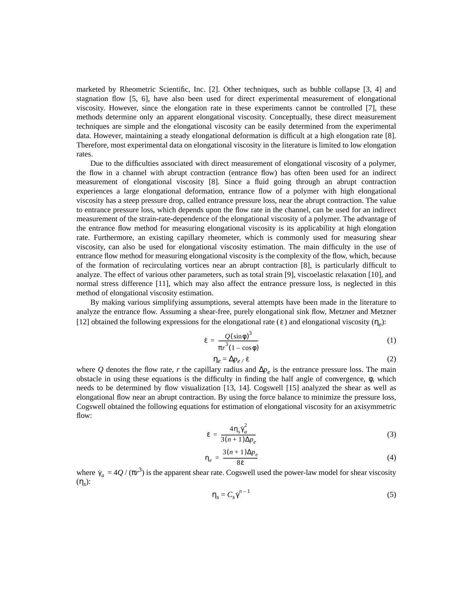marketed by Rheometric Scientific, Inc. [[2\]](#page-5-1). Other techniques, such as bubble collapse [[3,](#page-5-2) [4\]](#page-5-3) and stagnation flow [[5,](#page-5-4) [6](#page-5-5)], have also been used for direct experimental measurement of elongational viscosity. However, since the elongation rate in these experiments cannot be controlled [[7\]](#page-5-6), these methods determine only an apparent elongational viscosity. Conceptually, these direct measurement techniques are simple and the elongational viscosity can be easily determined from the experimental data. However, maintaining a steady elongational deformation is difficult at a high elongation rate [\[8](#page-5-7)]. Therefore, most experimental data on elongational viscosity in the literature is limited to low elongation rates.

Due to the difficulties associated with direct measurement of elongational viscosity of a polymer, the flow in a channel with abrupt contraction (entrance flow) has often been used for an indirect measurement of elongational viscosity [[8\]](#page-5-7). Since a fluid going through an abrupt contraction experiences a large elongational deformation, entrance flow of a polymer with high elongational viscosity has a steep pressure drop, called entrance pressure loss, near the abrupt contraction. The value to entrance pressure loss, which depends upon the flow rate in the channel, can be used for an indirect measurement of the strain-rate-dependence of the elongational viscosity of a polymer. The advantage of the entrance flow method for measuring elongational viscosity is its applicability at high elongation rate. Furthermore, an existing capillary rheometer, which is commonly used for measuring shear viscosity, can also be used for elongational viscosity estimation. The main difficulty in the use of entrance flow method for measuring elongational viscosity is the complexity of the flow, which, because of the formation of recirculating vortices near an abrupt contraction [[8\]](#page-5-7), is particularly difficult to analyze. The effect of various other parameters, such as total strain [[9\]](#page-5-8), viscoelastic relaxation [\[10](#page-5-9)], and normal stress difference [\[11](#page-5-10)], which may also affect the entrance pressure loss, is neglected in this method of elongational viscosity estimation.

By making various simplifying assumptions, several attempts have been made in the literature to analyze the entrance flow. Assuming a shear-free, purely elongational sink flow, Metzner and Metzner [\[12](#page-5-11)] obtained the following expressions for the elongational rate ( $\dot{\epsilon}$ ) and elongational viscosity ( $\eta_e$ ):

$$
\dot{\varepsilon} = \frac{Q(\sin \phi)^3}{\pi r^3 (1 - \cos \phi)}
$$
 (1)

$$
\eta_e = \Delta p_e / \dot{\epsilon} \tag{2}
$$

<span id="page-1-0"></span>where *Q* denotes the flow rate, *r* the capillary radius and  $\Delta p_e$  is the entrance pressure loss. The main obstacle in using these equations is the difficulty in finding the half angle of convergence, φ, which needs to be determined by flow visualization [[13,](#page-5-12) [14](#page-5-13)]. Cogswell [[15\]](#page-5-14) analyzed the shear as well as elongational flow near an abrupt contraction. By using the force balance to minimize the pressure loss, Cogswell obtained the following equations for estimation of elongational viscosity for an axisymmetric flow:

$$
\dot{\varepsilon} = \frac{4\eta_s \dot{\gamma}_a^2}{3(n+1)\Delta p_e} \tag{3}
$$

$$
\eta_e = \frac{3(n+1)\Delta p_e}{8\dot{\varepsilon}}\tag{4}
$$

<span id="page-1-1"></span>where  $\dot{\gamma}_a = 4Q/(\pi r^3)$  is the apparent shear rate. Cogswell used the power-law model for shear viscosity (η*s*): γ˙ *a*

$$
\eta_s = C_s \dot{\gamma}^{n-1} \tag{5}
$$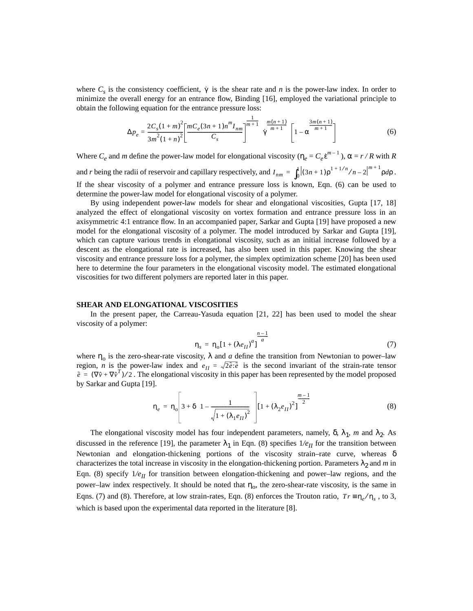<span id="page-2-0"></span>where  $C_s$  is the consistency coefficient,  $\gamma$  is the shear rate and *n* is the power-law index. In order to minimize the overall energy for an entrance flow, Binding [\[16](#page-5-15)], employed the variational principle to obtain the following equation for the entrance pressure loss:

$$
\Delta p_e = \frac{2C_s(1+m)^2}{3m^2(1+n)^2} \left[ \frac{mC_e(3n+1)n^m I_{nm}}{C_s} \right]^{\frac{1}{m+1}} \gamma^{\frac{m(n+1)}{m+1}} \left[ 1 - \alpha^{\frac{3m(n+1)}{m+1}} \right] \tag{6}
$$

Where  $C_e$  and *m* define the power-law model for elongational viscosity  $(\eta_e = C_e \dot{e}^{m-1})$ ,  $\alpha = r/R$  with *R* and *r* being the radii of reservoir and capillary respectively, and  $I_{nm} = \int_0^1 \left| (3n+1) \rho^{1+1/n} / n - 2 \right|^{m+1} \rho d\rho$ . If the shear viscosity of a polymer and entrance pressure loss is known, [Eqn. \(6\)](#page-2-0) can be used to determine the power-law model for elongational viscosity of a polymer.

By using independent power-law models for shear and elongational viscosities, Gupta [\[17](#page-5-16), [18\]](#page-5-17) analyzed the effect of elongational viscosity on vortex formation and entrance pressure loss in an axisymmetric 4:1 entrance flow. In an accompanied paper, Sarkar and Gupta [[19\]](#page-5-18) have proposed a new model for the elongational viscosity of a polymer. The model introduced by Sarkar and Gupta [\[19](#page-5-18)], which can capture various trends in elongational viscosity, such as an initial increase followed by a descent as the elongational rate is increased, has also been used in this paper. Knowing the shear viscosity and entrance pressure loss for a polymer, the simplex optimization scheme [\[20](#page-5-19)] has been used here to determine the four parameters in the elongational viscosity model. The estimated elongational viscosities for two different polymers are reported later in this paper.

### **SHEAR AND ELONGATIONAL VISCOSITIES**

<span id="page-2-2"></span>In the present paper, the Carreau-Yasuda equation [\[21](#page-5-20), [22](#page-5-21)] has been used to model the shear viscosity of a polymer:

$$
\eta_s = \eta_0 [1 + (\lambda e_{II})^a]^\frac{n-1}{a}
$$
 (7)

<span id="page-2-1"></span>where  $\eta_0$  is the zero-shear-rate viscosity,  $\lambda$  and *a* define the transition from Newtonian to power–law region, *n* is the power-law index and  $e_{II} = \sqrt{2\tilde{e}:\tilde{e}}$  is the second invariant of the strain-rate tensor  $\tilde{e} = (\nabla \hat{v} + \nabla \hat{v}^T)/2$ . The elongational viscosity in this paper has been represented by the model proposed by Sarkar and Gupta [\[19](#page-5-18)].

$$
\eta_e = \eta_o \left[ 3 + \delta \left\{ 1 - \frac{1}{\sqrt{1 + (\lambda_1 e_H)^2}} \right\} \right] \left[ 1 + (\lambda_2 e_H)^2 \right]^{\frac{m-1}{2}} \tag{8}
$$

The elongational viscosity model has four independent parameters, namely,  $\delta$ ,  $\lambda_1$ , *m* and  $\lambda_2$ . As discussed in the reference [\[19](#page-5-18)], the parameter  $\lambda_1$  in [Eqn. \(8\)](#page-2-1) specifies  $1/e_{II}$  for the transition between Newtonian and elongation-thickening portions of the viscosity strain–rate curve, whereas  $\delta$ characterizes the total increase in viscosity in the elongation-thickening portion. Parameters  $\lambda_2$  and *m* in [Eqn. \(8\)](#page-2-1) specify  $1/e<sub>II</sub>$  for transition between elongation-thickening and power–law regions, and the power–law index respectively. It should be noted that  $\eta_0$ , the zero-shear-rate viscosity, is the same in Eqns. ([7\)](#page-2-2) and [\(8](#page-2-1)). Therefore, at low strain-rates, [Eqn. \(8\)](#page-2-1) enforces the Trouton ratio,  $Tr = \eta_e / \eta_s$ , to 3, which is based upon the experimental data reported in the literature [\[8](#page-5-7)].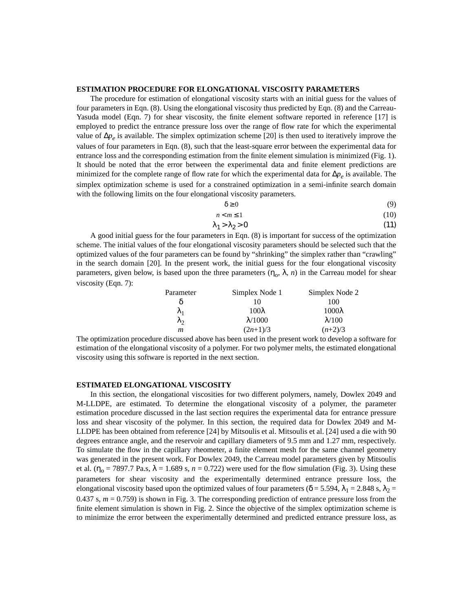### **ESTIMATION PROCEDURE FOR ELONGATIONAL VISCOSITY PARAMETERS**

The procedure for estimation of elongational viscosity starts with an initial guess for the values of four parameters in [Eqn. \(8\).](#page-2-1) Using the elongational viscosity thus predicted by [Eqn. \(8\)](#page-2-1) and the Carreau-Yasuda model [\(Eqn. 7\)](#page-2-2) for shear viscosity, the finite element software reported in reference [\[17](#page-5-16)] is employed to predict the entrance pressure loss over the range of flow rate for which the experimental value of ∆*pe* is available. The simplex optimization scheme [[20\]](#page-5-19) is then used to iteratively improve the values of four parameters in [Eqn. \(8\)](#page-2-1), such that the least-square error between the experimental data for entrance loss and the corresponding estimation from the finite element simulation is minimized ([Fig. 1](#page-6-0)). It should be noted that the error between the experimental data and finite element predictions are minimized for the complete range of flow rate for which the experimental data for ∆*pe* is available. The simplex optimization scheme is used for a constrained optimization in a semi-infinite search domain with the following limits on the four elongational viscosity parameters.

$$
\delta \geq 0 \tag{9}
$$

$$
n < m \le 1 \tag{10}
$$

$$
\lambda_1 > \lambda_2 > 0 \tag{11}
$$

A good initial guess for the four parameters in [Eqn. \(8\)](#page-2-1) is important for success of the optimization scheme. The initial values of the four elongational viscosity parameters should be selected such that the optimized values of the four parameters can be found by "shrinking" the simplex rather than "crawling" in the search domain [[20\]](#page-5-19). In the present work, the initial guess for the four elongational viscosity parameters, given below, is based upon the three parameters  $(\eta_0, \lambda, n)$  in the Carreau model for shear viscosity [\(Eqn. 7](#page-2-2)):

| Parameter   | Simplex Node 1  | Simplex Node 2 |  |
|-------------|-----------------|----------------|--|
|             | 10              | 100            |  |
| $\lambda_1$ | $100\lambda$    | $1000\lambda$  |  |
| $\lambda_2$ | $\lambda$ /1000 | $\lambda$ /100 |  |
| m           | $(2n+1)/3$      | $(n+2)/3$      |  |

The optimization procedure discussed above has been used in the present work to develop a software for estimation of the elongational viscosity of a polymer. For two polymer melts, the estimated elongational viscosity using this software is reported in the next section.

#### **ESTIMATED ELONGATIONAL VISCOSITY**

In this section, the elongational viscosities for two different polymers, namely, Dowlex 2049 and M-LLDPE, are estimated. To determine the elongational viscosity of a polymer, the parameter estimation procedure discussed in the last section requires the experimental data for entrance pressure loss and shear viscosity of the polymer. In this section, the required data for Dowlex 2049 and M-LLDPE has been obtained from reference [[24\]](#page-5-22) by Mitsoulis et al. Mitsoulis et al. [\[24](#page-5-22)] used a die with 90 degrees entrance angle, and the reservoir and capillary diameters of 9.5 mm and 1.27 mm, respectively. To simulate the flow in the capillary rheometer, a finite element mesh for the same channel geometry was generated in the present work. For Dowlex 2049, the Carreau model parameters given by Mitsoulis et al. ( $\eta_o$  = 7897.7 Pa.s,  $\lambda$  = 1.689 s, *n* = 0.722) were used for the flow simulation ([Fig. 3](#page-7-0)). Using these parameters for shear viscosity and the experimentally determined entrance pressure loss, the elongational viscosity based upon the optimized values of four parameters ( $\delta$  = 5.594,  $\lambda_1$  = 2.848 s,  $\lambda_2$  = 0.437 s,  $m = 0.759$ ) is shown in [Fig. 3](#page-7-0). The corresponding prediction of entrance pressure loss from the finite element simulation is shown in [Fig. 2.](#page-7-1) Since the objective of the simplex optimization scheme is to minimize the error between the experimentally determined and predicted entrance pressure loss, as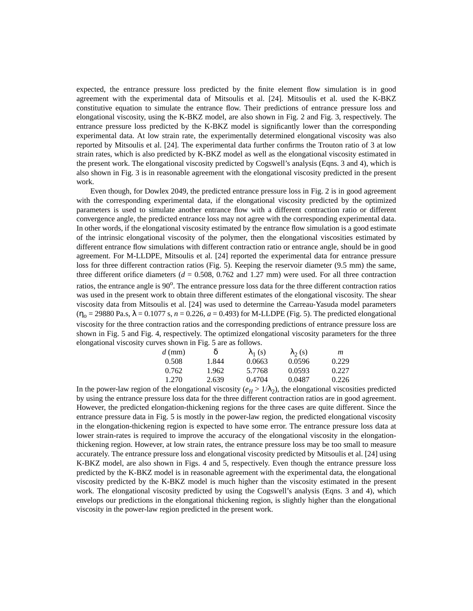expected, the entrance pressure loss predicted by the finite element flow simulation is in good agreement with the experimental data of Mitsoulis et al. [\[24](#page-5-22)]. Mitsoulis et al. used the K-BKZ constitutive equation to simulate the entrance flow. Their predictions of entrance pressure loss and elongational viscosity, using the K-BKZ model, are also shown in [Fig. 2](#page-7-1) and [Fig. 3](#page-7-0), respectively. The entrance pressure loss predicted by the K-BKZ model is significantly lower than the corresponding experimental data. At low strain rate, the experimentally determined elongational viscosity was also reported by Mitsoulis et al. [[24\]](#page-5-22). The experimental data further confirms the Trouton ratio of 3 at low strain rates, which is also predicted by K-BKZ model as well as the elongational viscosity estimated in the present work. The elongational viscosity predicted by Cogswell's analysis (Eqns. [3](#page-1-0) and [4\)](#page-1-1), which is also shown in [Fig. 3](#page-7-0) is in reasonable agreement with the elongational viscosity predicted in the present work.

Even though, for Dowlex 2049, the predicted entrance pressure loss in [Fig. 2](#page-7-1) is in good agreement with the corresponding experimental data, if the elongational viscosity predicted by the optimized parameters is used to simulate another entrance flow with a different contraction ratio or different convergence angle, the predicted entrance loss may not agree with the corresponding experimental data. In other words, if the elongational viscosity estimated by the entrance flow simulation is a good estimate of the intrinsic elongational viscosity of the polymer, then the elongational viscosities estimated by different entrance flow simulations with different contraction ratio or entrance angle, should be in good agreement. For M-LLDPE, Mitsoulis et al. [[24\]](#page-5-22) reported the experimental data for entrance pressure loss for three different contraction ratios ([Fig. 5\)](#page-8-0). Keeping the reservoir diameter (9.5 mm) the same, three different orifice diameters  $(d = 0.508, 0.762, and 1.27, mm)$  were used. For all three contraction ratios, the entrance angle is 90<sup>o</sup>. The entrance pressure loss data for the three different contraction ratios was used in the present work to obtain three different estimates of the elongational viscosity. The shear viscosity data from Mitsoulis et al. [[24\]](#page-5-22) was used to determine the Carreau-Yasuda model parameters  $(\eta_0 = 29880 \text{ Pa.s}, \lambda = 0.1077 \text{ s}, n = 0.226, a = 0.493)$  for M-LLDPE ([Fig. 5\)](#page-8-0). The predicted elongational viscosity for the three contraction ratios and the corresponding predictions of entrance pressure loss are shown in [Fig. 5](#page-8-0) and [Fig. 4](#page-8-1), respectively. The optimized elongational viscosity parameters for the three elongational viscosity curves shown in [Fig. 5](#page-8-0) are as follows.

| $d$ (mm) | ŏ     | $\lambda_1$ (s) | $\lambda_2$ (s) | m     |
|----------|-------|-----------------|-----------------|-------|
| 0.508    | 1.844 | 0.0663          | 0.0596          | 0.229 |
| 0.762    | 1.962 | 5.7768          | 0.0593          | 0.227 |
| 1.270    | 2.639 | 0.4704          | 0.0487          | 0.226 |

In the power-law region of the elongational viscosity ( $e_{II} > 1/\lambda_2$ ), the elongational viscosities predicted by using the entrance pressure loss data for the three different contraction ratios are in good agreement. However, the predicted elongation-thickening regions for the three cases are quite different. Since the entrance pressure data in [Fig. 5](#page-8-0) is mostly in the power-law region, the predicted elongational viscosity in the elongation-thickening region is expected to have some error. The entrance pressure loss data at lower strain-rates is required to improve the accuracy of the elongational viscosity in the elongationthickening region. However, at low strain rates, the entrance pressure loss may be too small to measure accurately. The entrance pressure loss and elongational viscosity predicted by Mitsoulis et al. [[24\]](#page-5-22) using K-BKZ model, are also shown in Figs. [4](#page-8-1) and [5,](#page-8-0) respectively. Even though the entrance pressure loss predicted by the K-BKZ model is in reasonable agreement with the experimental data, the elongational viscosity predicted by the K-BKZ model is much higher than the viscosity estimated in the present work. The elongational viscosity predicted by using the Cogswell's analysis (Eqns. [3](#page-1-0) and [4](#page-1-1)), which envelops our predictions in the elongational thickening region, is slightly higher than the elongational viscosity in the power-law region predicted in the present work.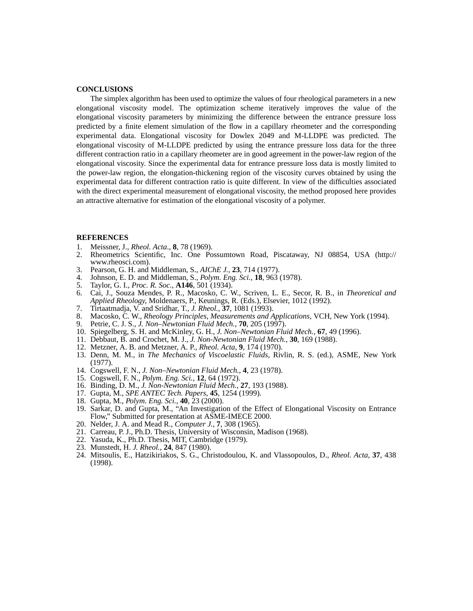## **CONCLUSIONS**

The simplex algorithm has been used to optimize the values of four rheological parameters in a new elongational viscosity model. The optimization scheme iteratively improves the value of the elongational viscosity parameters by minimizing the difference between the entrance pressure loss predicted by a finite element simulation of the flow in a capillary rheometer and the corresponding experimental data. Elongational viscosity for Dowlex 2049 and M-LLDPE was predicted. The elongational viscosity of M-LLDPE predicted by using the entrance pressure loss data for the three different contraction ratio in a capillary rheometer are in good agreement in the power-law region of the elongational viscosity. Since the experimental data for entrance pressure loss data is mostly limited to the power-law region, the elongation-thickening region of the viscosity curves obtained by using the experimental data for different contraction ratio is quite different. In view of the difficulties associated with the direct experimental measurement of elongational viscosity, the method proposed here provides an attractive alternative for estimation of the elongational viscosity of a polymer.

## **REFERENCES**

- <span id="page-5-0"></span>1. Meissner, J., *Rheol. Acta*., **8**, 78 (1969).
- <span id="page-5-1"></span>2. Rheometrics Scientific, Inc. One Possumtown Road, Piscataway, NJ 08854, USA (http:// www.rheosci.com).
- <span id="page-5-2"></span>3. Pearson, G. H. and Middleman, S., *AIChE J.*, **23**, 714 (1977).
- <span id="page-5-3"></span>4. Johnson, E. D. and Middleman, S., *Polym. Eng. Sci.*, **18**, 963 (1978).
- <span id="page-5-4"></span>5. Taylor, G. I., *Proc. R. Soc.*, **A146**, 501 (1934).
- <span id="page-5-5"></span>6. Cai, J., Souza Mendes, P. R., Macosko, C. W., Scriven, L. E., Secor, R. B., in *Theoretical and Applied Rheology*, Moldenaers, P., Keunings, R. (Eds.), Elsevier, 1012 (1992).
- <span id="page-5-6"></span>7. Tirtaatmadja, V. and Sridhar, T., *J. Rheol.*, **37**, 1081 (1993).
- <span id="page-5-7"></span>8. Macosko, C. W., *Rheology Principles, Measurements and Applications*, VCH, New York (1994).
- <span id="page-5-8"></span>9. Petrie, C. J. S., *J. Non–Newtonian Fluid Mech.*, **70**, 205 (1997).
- <span id="page-5-9"></span>10. Spiegelberg, S. H. and McKinley, G. H., *J. Non–Newtonian Fluid Mech.*, **67**, 49 (1996).
- <span id="page-5-10"></span>11. Debbaut, B. and Crochet, M. J., *J. Non-Newtonian Fluid Mech.*, **30**, 169 (1988).
- <span id="page-5-11"></span>12. Metzner, A. B. and Metzner, A. P., *Rheol. Acta,* **9**, 174 (1970).
- <span id="page-5-12"></span>13. Denn, M. M., in *The Mechanics of Viscoelastic Fluids*, Rivlin, R. S. (ed.), ASME, New York (1977).
- <span id="page-5-13"></span>14. Cogswell, F. N., *J. Non–Newtonian Fluid Mech.*, **4**, 23 (1978).
- <span id="page-5-14"></span>15. Cogswell, F. N., *Polym. Eng. Sci.*, **12**, 64 (1972).
- <span id="page-5-15"></span>16. Binding, D. M., *J. Non-Newtonian Fluid Mech.*, **27**, 193 (1988).
- <span id="page-5-16"></span>17. Gupta, M., *SPE ANTEC Tech. Papers*, **45**, 1254 (1999).
- <span id="page-5-17"></span>18. Gupta, M., *Polym. Eng. Sci.*, **40**, 23 (2000).
- <span id="page-5-18"></span>19. Sarkar, D. and Gupta, M., "An Investigation of the Effect of Elongational Viscosity on Entrance Flow," Submitted for presentation at ASME-IMECE 2000.
- <span id="page-5-19"></span>20. Nelder, J. A. and Mead R., *Computer J.*, **7**, 308 (1965).
- <span id="page-5-20"></span>21. Carreau, P. J., Ph.D. Thesis, University of Wisconsin, Madison (1968).
- <span id="page-5-21"></span>22. Yasuda, K., Ph.D. Thesis, MIT, Cambridge (1979).
- 23. Munstedt, H. *J. Rheol.*, **24**, 847 (1980).
- <span id="page-5-22"></span>24. Mitsoulis, E., Hatzikiriakos, S. G., Christodoulou, K. and Vlassopoulos, D., *Rheol. Acta*, **37**, 438 (1998).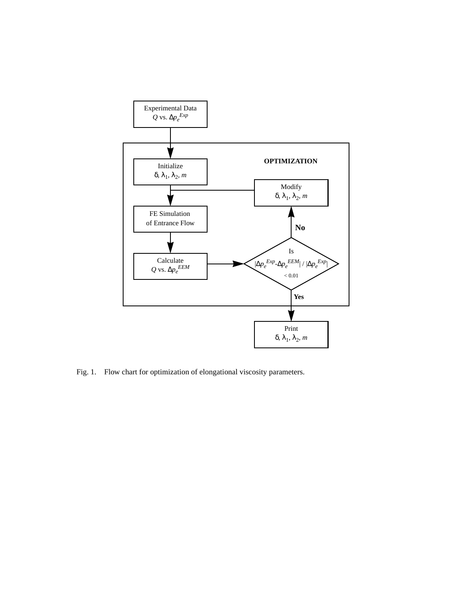

<span id="page-6-0"></span>Fig. 1. Flow chart for optimization of elongational viscosity parameters.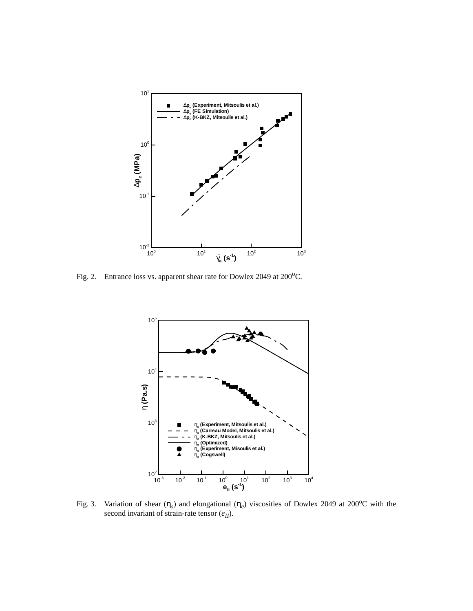

<span id="page-7-1"></span>Fig. 2. Entrance loss vs. apparent shear rate for Dowlex 2049 at 200°C.



<span id="page-7-0"></span>Fig. 3. Variation of shear  $(\eta_s)$  and elongational  $(\eta_e)$  viscosities of Dowlex 2049 at 200<sup>o</sup>C with the second invariant of strain-rate tensor  $(e_{II})$ .